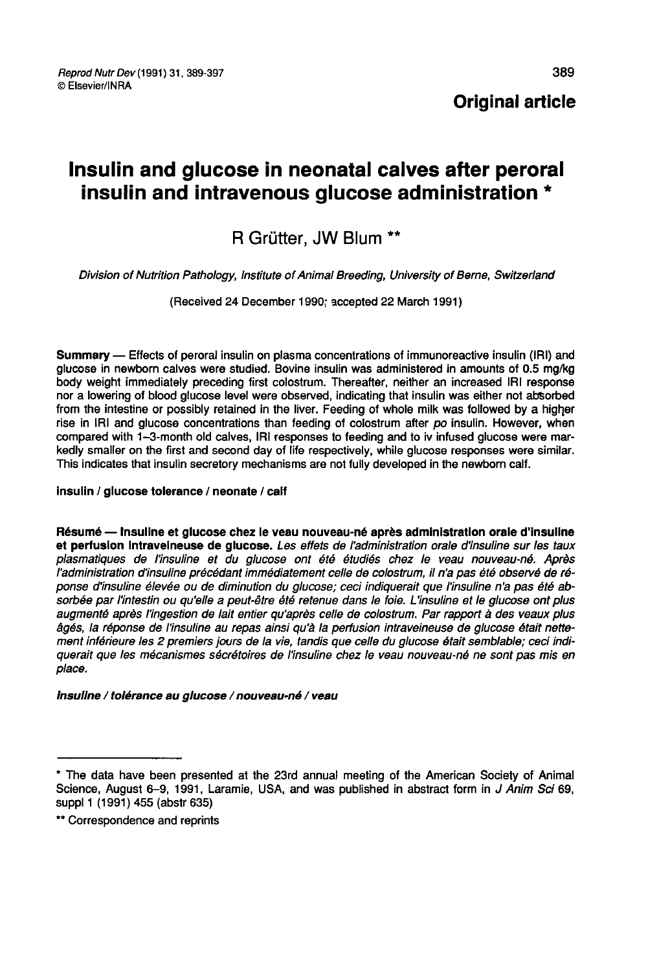**Original article** 

# Insulin and glucose in neonatal calves after peroral insulin and intravenous glucose administration \*

## R Grütter, JW Blum

Division of Nutrition Pathology, Institute of Animal Breeding, University of Berne, Switzerland

(Received 24 December 1990; accepted 22 March 1991)

Summary ― Effects of peroral insulin on plasma concentrations of immunoreactive insulin (IRI) and glucose in newborn calves were studied. Bovine insulin was administered in amounts of 0.5 mg/kg<br>body weight immediately preceding first colostrum. Thereafter, neither an increased IRI response nor a lowering of blood glucose level were observed, indicating that insulin was either not absorbed from the intestine or possibly retained in the liver. Feeding of whole milk was followed by a higher rise in IRI and glucose concentrations than feeding of colostrum after po insulin. However, when compared with 1-3-month old calves, IRI responses to feeding and to iv infused glucose were markedly smaller on the first and second day of life respectively, while glucose responses were similar. This indicates that insulin secretory mechanisms are not fully developed in the newborn calf.

#### insulin / glucose tolerance / neonate / calf

Résumé ― Insuline et glucose chez le veau nouveau-né après administration orale d'insuline et perfusion intraveineuse de glucose. Les effets de l'administration orale d'insuline sur les taux plasmatiques de l'insuline et du glucose ont été étudiés chez le veau nouveau-né. Après l'administration d'insuline précédant immédiatement celle de colostrum, il n'a pas été observé de réponse d'insuline élevée ou de diminution du glucose; ceci indiquerait que l'insuline n'a pas été absorbée par l'intestin ou qu'elle a peut-être été retenue dans le foie. L'insuline et le glucose ont plus augmenté après l'ingestion de lait entier qu'après celle de colostrum. Par rapport à des veaux plus âgés, la réponse de l'insuline au repas ainsi qu'à la perfusion intraveineuse de glucose était nettement inférieure les 2 premiers jours de la vie, tandis que celle du glucose était semblable; ceci indiquerait que les mécanismes sécrétoires de l'insuline chez le veau nouveau-né ne sont pas mis en place.

#### Insuline / tolérance au glucose / nouveau-né / veau

<sup>\*</sup> The data have been presented at the 23rd annual meeting of the American Society of Animal Science, August 6-9, 1991, Laramie, USA, and was published in abstract form in J Anim Sci 69, suppl 1 (1991) 455 (abstr 635)

<sup>\*\*</sup> Correspondence and reprints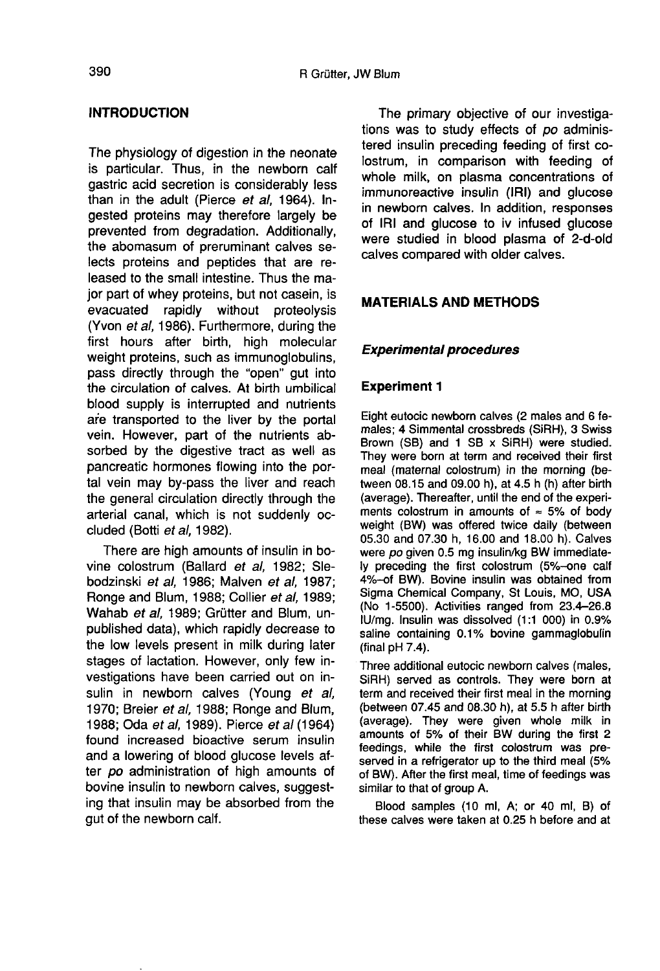## INTRODUCTION

The physiology of digestion in the neonate is particular. Thus, in the newborn calf gastric acid secretion is considerably less than in the adult (Pierce et al, 1964). Ingested proteins may therefore largely be prevented from degradation. Additionally, the abomasum of preruminant calves selects proteins and peptides that are released to the small intestine. Thus the major part of whey proteins, but not casein, is evacuated rapidly without proteolysis (Yvon et al, 1986). Furthermore, during the first hours after birth, high molecular weight proteins, such as immunoglobulins, pass directly through the "open" gut into the circulation of calves. At birth umbilical blood supply is interrupted and nutrients are transported to the liver by the portal vein. However, part of the nutrients absorbed by the digestive tract as well as pancreatic hormones flowing into the portal vein may by-pass the liver and reach the general circulation directly through the arterial canal, which is not suddenly occluded (Botti et al, 1982).

There are high amounts of insulin in bovine colostrum (Ballard et al, 1982; Slebodzinski et al, 1986; Malven et al, 1987; Ronge and Blum, 1988; Collier et al, 1989; Wahab et al, 1989; Grütter and Blum, unpublished data), which rapidly decrease to the low levels present in milk during later stages of lactation. However, only few investigations have been carried out on insulin in newborn calves (Young et al, 1970; Breier et al, 1988; Ronge and Blum, 1988; Oda et al, 1989). Pierce et al (1964) found increased bioactive serum insulin and a lowering of blood glucose levels after po administration of high amounts of bovine insulin to newborn calves, suggesting that insulin may be absorbed from the gut of the newborn calf.

The primary objective of our investigations was to study effects of po administered insulin preceding feeding of first colostrum, in comparison with feeding of whole milk, on plasma concentrations of immunoreactive insulin (IRI) and glucose in newborn calves. In addition, responses of IRI and glucose to iv infused glucose were studied in blood plasma of 2-d-old calves compared with older calves.

## MATERIALS AND METHODS

## Experimental procedures

## Experiment 1

Eight eutocic newborn calves (2 males and 6 females; 4 Simmental crossbreds (SiRH), 3 Swiss Brown (SB) and 1 SB x SiRH) were studied. They were born at term and received their first meal (maternal colostrum) in the morning (be tween 08.15 and 09.00 h), at 4.5 h (h) after birth<br>(average). Thereafter, until the end of the experiments colostrum in amounts of  $\approx$  5% of body weight (BW) was offered twice daily (between 05.30 and 07.30 h, 16.00 and 18.00 h). Calves were po given 0.5 mg insulin/kg BW immediately preceding the first colostrum (5%-one calf 4%-of BW). Bovine insulin was obtained from Sigma Chemical Company, St Louis, MO, USA (No 1-5500). Activities ranged from 23.4-26.8 IU/mg. Insulin was dissolved (1:1 000) in 0.9% saline containing 0.1% bovine gammaglobulin (final pH 7.4).

Three additional eutocic newborn calves (males, SiRH) served as controls. They were born at term and received their first meal in the morning (between 07.45 and 08.30 h), at 5.5 h after birth (average). They were given whole milk in amounts of 5% of their BW during the first 2 feedings, while the first colostrum was preserved in a refrigerator up to the third meal (5% of BW). After the first meal, time of feedings was similar to that of group A.

Blood samples (10 ml, A; or 40 ml, B) of these calves were taken at 0.25 h before and at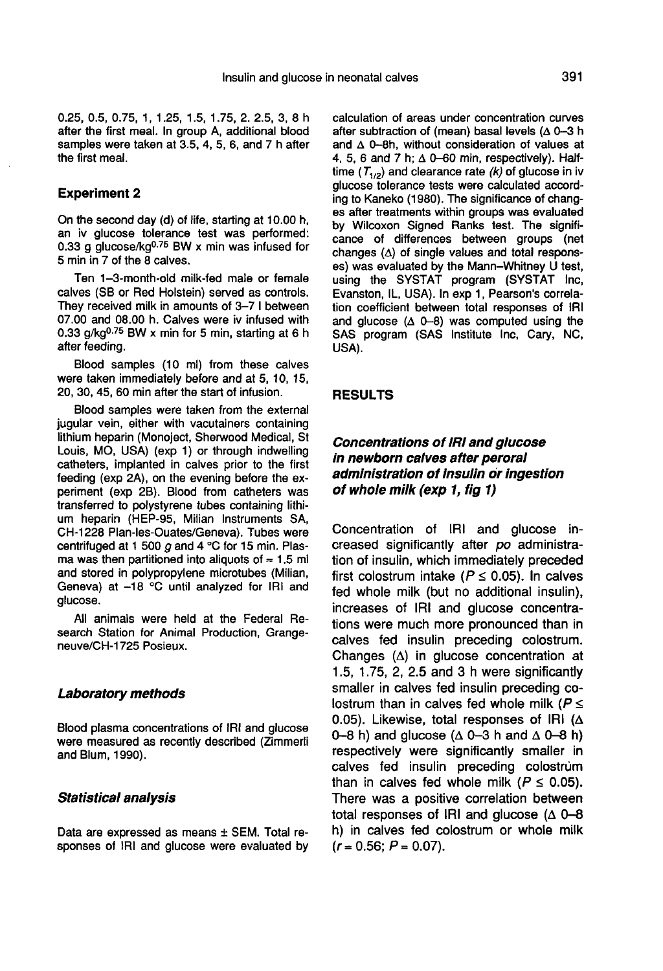0.25, 0.5, 0.75, 1, 1.25, 1.5, 1.75, 2. 2.5, 3, 8 h after the first meal. In group A, additional blood samples were taken at 3.5, 4, 5, 6, and 7 h after the first meal.

#### Experiment 2

On the second day (d) of life, starting at 10.00 h, an iv glucose tolerance test was performed:<br>0.33 g glucose/kg<sup>0.75</sup> BW x min was infused for the first meal.<br> **Experiment 2**<br>
On the second day (d) of life, starting at 10.00 h,<br>
an iv glucose/kg<sup>0.75</sup> BW x min was infused for<br>
5 min in 7 of the 8 calves.<br>
Ten 1.2 meath ald mill fed male at famals 5 min in 7 of the 8 calves.

Ten 1-3-month-old milk-fed male or female calves (SB or Red Holstein) served as controls. They received milk in amounts of 3-7 1 between 07.00 and 08.00 h. Calves were iv infused with 0.33  $g/kg<sup>0.75</sup>BW x min for 5 min, starting at 6 h$ after feeding.

Blood samples (10 ml) from these calves were taken immediately before and at 5, 10, 15, 20, 30, 45, 60 min after the start of infusion.

Blood samples were taken from the external jugular vein, either with vacutainers containing lithium heparin (Monoject, Sherwood Medical, St Louis, MO, USA) (exp 1) or through indwelling catheters, implanted in calves prior to the first feeding (exp 2A), on the evening before the experiment (exp 2B). Blood from catheters was transferred to polystyrene tubes containing lithium heparin (HEP-95, Milian Instruments SA, CH-1228 Plan-les-Ouates/Geneva). Tubes were centrifuged at 1 500  $q$  and 4 °C for 15 min. Plasma was then partitioned into aliquots of  $\approx$  1.5 ml and stored in polypropylene microtubes (Milian, Geneva) at -18 °C until analyzed for IRI and glucose.

All animals were held at the Federal Research Station for Animal Production, Grangeneuve/CH-1725 Posieux.

#### Laboratory methods

Blood plasma concentrations of IRI and glucose were measured as recently described (Zimmerli and Blum, 1990).

#### Statistical analysis

Data are expressed as means ± SEM. Total responses of IRI and glucose were evaluated by calculation of areas under concentration curves after subtraction of (mean) basal levels ( $\Delta$  0-3 h and  $\triangle$  0-8h, without consideration of values at and  $\Delta$  0-60, whilout consideration of values at<br>4, 5, 6 and 7 h;  $\Delta$  0-60 min, respectively). Half-<br>time (T<sub>1/2</sub>) and clearance rate (k) of glucose in iv glucose tolerance tests were calculated accord-<br>ing to Kaneko (1980). The significance of changes after treatments within groups was evaluated by Wilcoxon Signed Ranks test. The signifi cance of differences between groups (net changes  $(\Delta)$  of single values and total responses) was evaluated by the Mann-Whitney U test, using the SYSTAT program (SYSTAT Inc, Evanston, IL, USA). In exp 1, Pearson's correlation coefficient between total responses of IRI and glucose  $(A \nightharpoonup A)$  was computed using the SAS program (SAS Institute Inc, Cary, NC, USA).

#### RESULTS

## Concentrations of !RI and glucose in newborn calves after peroral administration of Insulin or ingestion of whole milk (exp 1, fig 1)

Concentration of IRI and glucose increased significantly after po administration of insulin, which immediately preceded first colostrum intake ( $P \le 0.05$ ). In calves fed whole milk (but no additional insulin), increases of IRI and glucose concentrations were much more pronounced than in calves fed insulin preceding colostrum. Changes  $(\Delta)$  in glucose concentration at 1.5, 1.75, 2, 2.5 and 3 h were significantly smaller in calves fed insulin preceding colostrum than in calves fed whole milk ( $P \leq$ 0.05). Likewise, total responses of IRI  $(A)$ 0-8 h) and glucose ( $\Delta$  0-3 h and  $\Delta$  0-8 h) respectively were significantly smaller in calves fed insulin preceding colostrum than in calves fed whole milk ( $P \leq 0.05$ ). There was a positive correlation between total responses of IRI and glucose ( $\triangle$  0-8 h) in calves fed colostrum or whole milk  $(r = 0.56; P = 0.07)$ .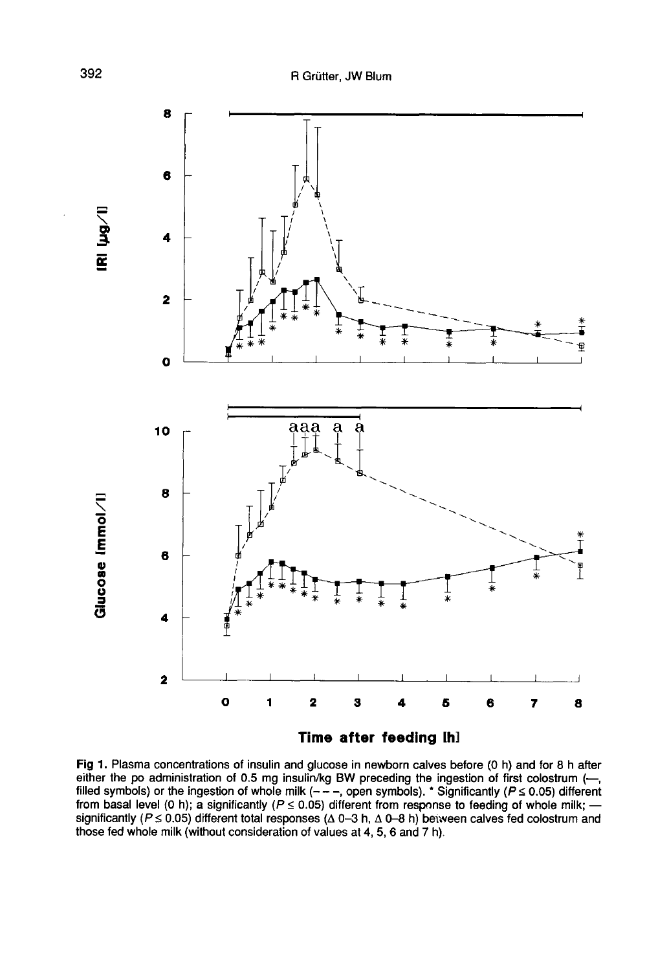

Fig 1. Plasma concentrations of insulin and glucose in newborn calves before (0 h) and for 8 h after either the po administration of 0.5 mg insulin/kg BW preceding the ingestion of first colostrum  $(-,$ filled symbols) or the ingestion of whole milk ( $-$  –, open symbols). \* Significantly ( $P \le 0.05$ ) different from basal level (0 h); a significantly ( $P \le 0.05$ ) different from response to feeding of whole milk; significantly ( $P \le 0.05$ ) different total responses ( $\Delta$  0-3 h,  $\Delta$  0-8 h) between calves fed colostrum and those fed whole milk (without consideration of values at 4, 5, 6 and 7 h).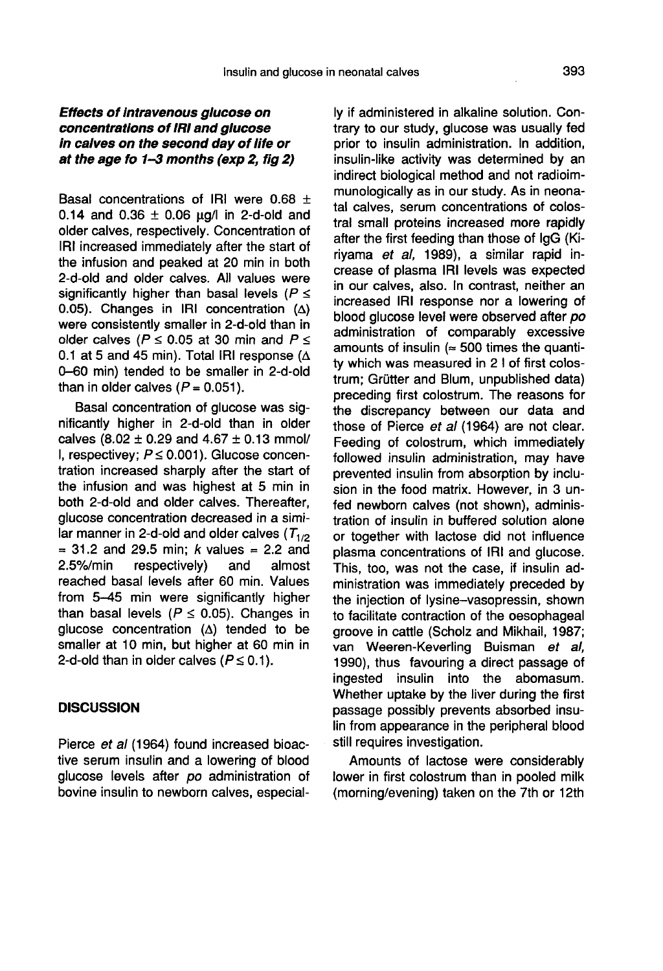## Effects of Intravenous glucose on concentrations of IRI and glucose in calves on the second day of life or at the age fo 1-3 months (exp 2, fig 2)

Basal concentrations of IRI were 0.68 + 0.14 and 0.36  $\pm$  0.06 ug/I in 2-d-old and older calves, respectively. Concentration of IRI increased immediately after the start of the infusion and peaked at 20 min in both 2-d-old and older calves. All values were significantly higher than basal levels ( $P \le$ 0.05). Changes in IRI concentration  $(\Delta)$  were consistently smaller in 2-d-old than in older calves ( $P \le 0.05$  at 30 min and  $P \le$ 0.1 at 5 and 45 min). Total IRI response ( $\Delta$ 0-60 min) tended to be smaller in 2-d-old than in older calves  $(P = 0.051)$ .

Basal concentration of glucose was significantly higher in 2-d-old than in older calves  $(8.02 \pm 0.29$  and  $4.67 \pm 0.13$  mmol/ I, respectivey;  $P \le 0.001$ ). Glucose concentration increased sharply after the start of the infusion and was highest at 5 min in both 2-d-old and older calves. Thereafter, glucose concentration decreased in a similar manner in 2-d-old and older calves  $(T_{1/2})$ <br>= 31.2 and 29.5 min; k values = 2.2 and<br>2.5%/min respectively) and almost respectively) reached basal levels after 60 min. Values from 5-45 min were significantly higher than basal levels ( $P \le 0.05$ ). Changes in glucose concentration  $(\Delta)$  tended to be smaller at 10 min, but higher at 60 min in 2-d-old than in older calves  $(P \le 0.1)$ .

#### **DISCUSSION**

Pierce et al (1964) found increased bioactive serum insulin and a lowering of blood glucose levels after po administration of bovine insulin to newborn calves, especial-

ly if administered in alkaline solution. Contrary to our study, glucose was usually fed prior to insulin administration. In addition, insulin-like activity was determined by an indirect biological method and not radioimmunologically as in our study. As in neonatal calves, serum concentrations of colostral small proteins increased more rapidly after the first feeding than those of IgG (Kiriyama et al, 1989), a similar rapid increase of plasma IRI levels was expected in our calves, also. In contrast, neither an increased IRI response nor a lowering of blood glucose level were observed after po administration of comparably excessive amounts of insulin  $($   $\approx$  500 times the quantity which was measured in 2 1 of first colostrum: Grütter and Blum, unpublished data) preceding first colostrum. The reasons for the discrepancy between our data and those of Pierce et al (1964) are not clear. Feeding of colostrum, which immediately followed insulin administration, may have prevented insulin from absorption by inclusion in the food matrix. However, in 3 unfed newborn calves (not shown), administration of insulin in buffered solution alone or together with lactose did not influence plasma concentrations of IRI and glucose. This, too, was not the case, if insulin administration was immediately preceded by the injection of lysine-vasopressin, shown to facilitate contraction of the oesophageal groove in cattle (Scholz and Mikhail, 1987; van Weeren-Keverling Buisman et al, 1990), thus favouring a direct passage of ingested insulin into the abomasum. Whether uptake by the liver during the first passage possibly prevents absorbed insulin from appearance in the peripheral blood still requires investigation.

Amounts of lactose were considerably lower in first colostrum than in pooled milk (morning/evening) taken on the 7th or 12th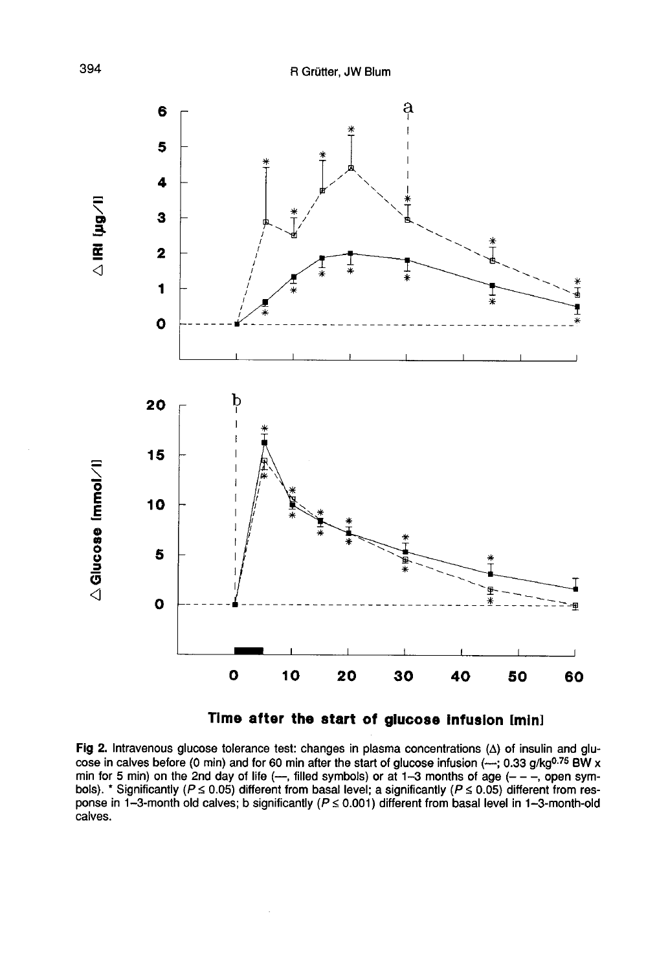

Time after the start of glucose infusion [min]

Fig 2. Intravenous glucose tolerance test: changes in plasma concentrations  $(\Delta)$  of insulin and glucose in calves before (0 min) and for 60 min after the start of glucose infusion (-; 0.33 g/kg<sup>0.75</sup> BW x min for 5 min) on the 2nd day of life (--, filled symbols) or at 1-3 months of age (- - -, open symbols). \* Significantly ( $P \le 0.05$ ) different from basal level; a significantly ( $P \le 0.05$ ) different from response in 1-3-month old calves; b significantly ( $P \le 0.001$ ) different from basal level in 1-3-month-old calves.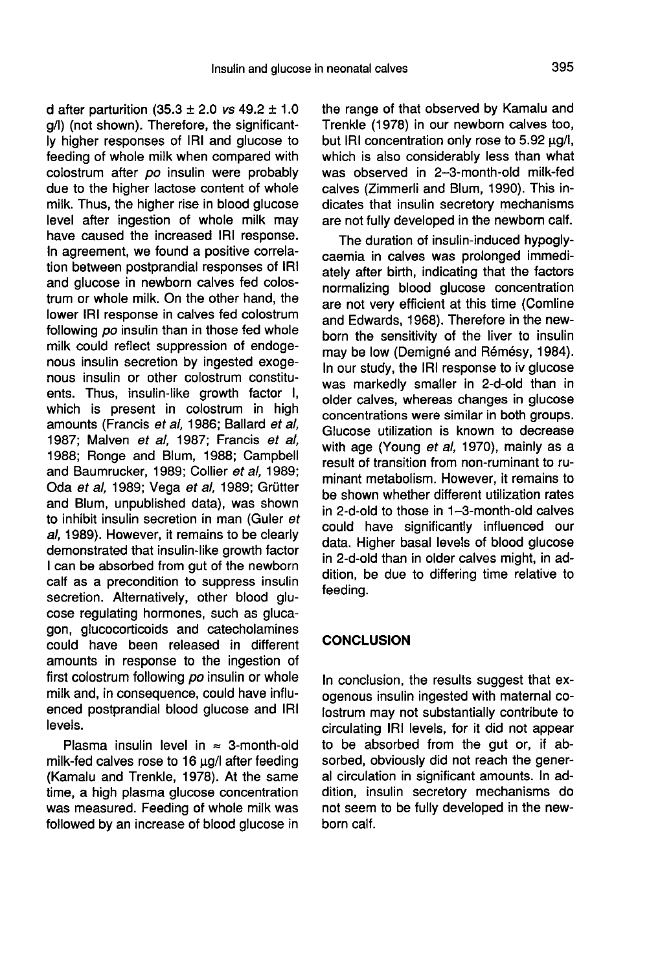d after parturition  $(35.3 \pm 2.0 \text{ vs } 49.2 \pm 1.0 \text{ s})$ g/1) (not shown). Therefore, the significantly higher responses of IRI and glucose to feeding of whole milk when compared with colostrum after po insulin were probably due to the higher lactose content of whole milk. Thus, the higher rise in blood glucose level after ingestion of whole milk may have caused the increased IRI response. In agreement, we found a positive correlation between postprandial responses of IRI and glucose in newborn calves fed colostrum or whole milk. On the other hand, the lower IRI response in calves fed colostrum following po insulin than in those fed whole milk could reflect suppression of endoge nous insulin secretion by ingested exogenous insulin or other colostrum constituents. Thus, insulin-like growth factor I, which is present in colostrum in high amounts (Francis et al, 1986; Ballard et al, 1987; Malven et al, 1987; Francis et al, 1988; Ronge and Blum, 1988; Campbell and Baumrucker, 1989; Collier et al, 1989; Oda et al, 1989; Vega et al, 1989; Grütter and Blum, unpublished data), was shown to inhibit insulin secretion in man (Guler et al, 1989). However, it remains to be clearly demonstrated that insulin-like growth factor I can be absorbed from gut of the newborn calf as a precondition to suppress insulin secretion. Alternatively, other blood glu cose regulating hormones, such as glucagon, glucocorticoids and catecholamines could have been released in different amounts in response to the ingestion of first colostrum following po insulin or whole milk and, in consequence, could have influenced postprandial blood glucose and IRI levels.

Plasma insulin level in  $\approx$  3-month-old milk-fed calves rose to 16  $\mu$ g/I after feeding (Kamalu and Trenkle, 1978). At the same time, a high plasma glucose concentration was measured. Feeding of whole milk was followed by an increase of blood glucose in the range of that observed by Kamalu and Trenkle (1978) in our newborn calves too, but IRI concentration only rose to  $5.92 \mu q/l$ , which is also considerably less than what was observed in 2-3-month-old milk-fed calves (Zimmerli and Blum, 1990). This indicates that insulin secretory mechanisms are not fully developed in the newborn calf.

The duration of insulin-induced hypoglycaemia in calves was prolonged immediately after birth, indicating that the factors normalizing blood glucose concentration are not very efficient at this time (Comline and Edwards, 1968). Therefore in the newborn the sensitivity of the liver to insulin may be low (Demigné and Rémésy, 1984). In our study, the IRI response to iv glucose was markedly smaller in 2-d-old than in older calves, whereas changes in glucose concentrations were similar in both groups. Glucose utilization is known to decrease with age (Young et al, 1970), mainly as a result of transition from non-ruminant to ruminant metabolism. However, it remains to be shown whether different utilization rates in 2-d-old to those in 1-3-month-old calves could have significantly influenced our data. Higher basal levels of blood glucose in 2-d-old than in older calves might, in addition, be due to differing time relative to feeding.

## **CONCLUSION**

In conclusion, the results suggest that exogenous insulin ingested with maternal colostrum may not substantially contribute to circulating IRI levels, for it did not appear to be absorbed from the gut or, if absorbed, obviously did not reach the general circulation in significant amounts. In addition, insulin secretory mechanisms do not seem to be fully developed in the newborn calf.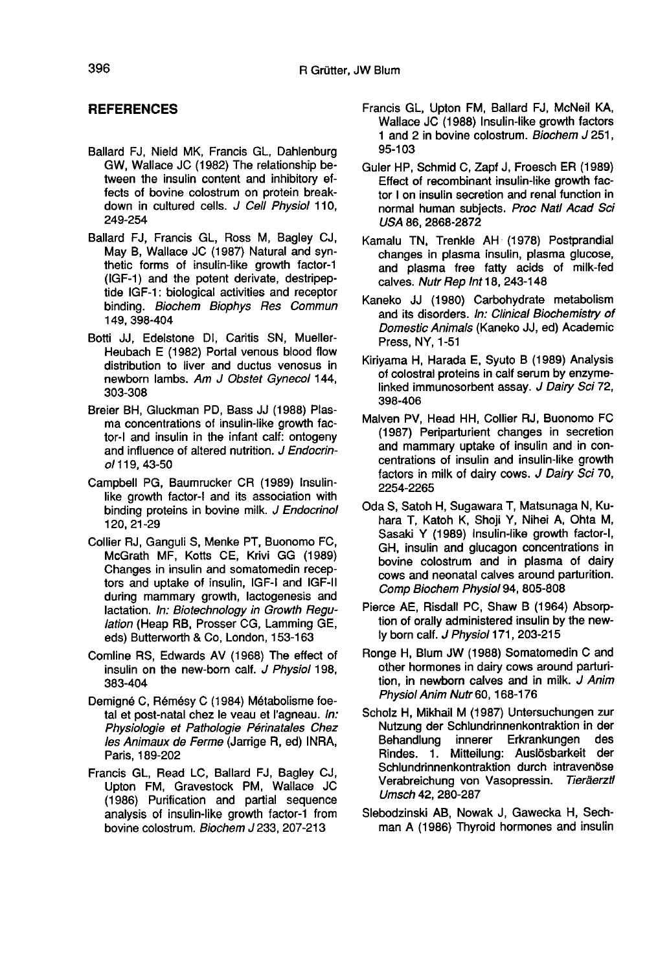## **REFERENCES**

- Ballard FJ, Nield MK, Francis GL, Dahlenburg GW, Wallace JC (1982) The relationship between the insulin content and inhibitory effects of bovine colostrum on protein breakdown in cultured cells. J Cell Physiol 110, 249-254
- Ballard FJ, Francis GL, Ross M, Bagley CJ, May B, Wallace JC (1987) Natural and synthetic forms of insulin-like growth factor-1 (IGF-1) and the potent derivate, destripeptide IGF-1: biological activities and receptor binding. Biochem Biophys Res Commun 149, 398-404
- Botti JJ, Edelstone Di, Caritis SN, Mueller-Heubach E (1982) Portal venous blood flow distribution to liver and ductus venosus in newborn lambs. Am J Obstet Gynecol 144, 303-308
- Breier BH, Gluckman PD, Bass JJ (1988) Plasma concentrations of insulin-like growth factor-I and insulin in the infant calf: ontogeny and influence of altered nutrition. J Endocrinc/119,43-50
- Campbell PG, Baumrucker CR (1989) Insulinlike growth factor-I and its association with binding proteins in bovine milk. J Endocrinol 120, 21-29
- Collier RJ, Ganguli S, Menke PT, Buonomo FC, McGrath MF, Kotts CE, Krivi GG (1989) Changes in insulin and somatomedin recep tors and uptake of insulin, IGF-I and IGF-11 during mammary growth, lactogenesis and lactation. In: Biotechnology in Growth Regulation (Heap RB, Prosser CG, Lamming GE, eds) Butterworth & Co, London, 153-163
- Comline RS, Edwards AV (1968) The effect of insulin on the new-born calf. J Physiol 198, 383-404
- Demign6 C, Rémésy C (1984) Métabolisme foetal et post-natal chez le veau et I'agneau. In: Physiologie et Pathologie Périnatales Chez les Animaux de Ferme (Jarrige R, ed) INRA, Paris, 189-202
- Francis GL, Read LC, Ballard FJ, Bagley CJ, Upton FM, Gravestock PM, Wallace JC (1986) Purification and partial sequence analysis of insulin-like growth factor-1 from bovine colostrum. Biochem J 233, 207-213
- Francis GL, Upton FM, Ballard FJ, McNeil KA, Wallace JC (1988) Insulin-like growth factors 1 and 2 in bovine colostrum. Biochem J 251, 95-103
- Guler HP, Schmid C, Zapf J, Froesch ER (1989) Effect of recombinant insulin-like growth factor I on insulin secretion and renal function in normal human subjects. Proc Natl Acad Sci USA 86, 2868-2872
- Kamalu TN, Trenkle AH (1978) Postprandial changes in plasma insulin, plasma glucose, and plasma free fatty acids of milk-fed calves. Nutr Rep Int 18, 243-148
- Kaneko JJ (1980) Carbohydrate metabolism and its disorders. In: Clinical Biochemistry of Domestic Animals (Kaneko JJ, ed) Academic Press, NY, 1-51
- Kiriyama H, Harada E, Syuto B (1989) Analysis of colostral proteins in calf serum by enzymelinked immunosorbent assay. J Dairy Sci 72, 398-406
- Malven PV, Head HH, Collier RJ, Buonomo FC (1987) Periparturient changes in secretion and mammary uptake of insulin and in concentrations of insulin and insulin-like growth factors in milk of dairy cows. J Dairy Sci 70, 2254-2265
- Oda S, Satoh H, Sugawara T, Matsunaga N, Kuhara T, Katoh K, Shoji Y, Nihei A, Ohta M, Sasaki Y (1989) Insulin-like growth factor-1, GH, insulin and glucagon concentrations in bovine colostrum and in plasma of dairy cows and neonatal calves around parturition. Comp Biochem Physiol 94, 805-808
- Pierce AE, Risdall PC, Shaw B (1964) Absorption of orally administered insulin by the newly born calf. J Physiol 171, 203-215
- Ronge H, Blum JW (1988) Somatomedin C and other hormones in dairy cows around parturition, in newborn calves and in milk. J Anim Physiol Anim Nutr 60, 168-176
- Scholz H, Mikhail M (1987) Untersuchungen zur Nutzung der Schlundrinnenkontraktion in der Behandlung innerer Erkrankungen des Rindes. 1. Mitteilung: Ausi6sbarkeit der Schlundrinnenkontraktion durch intravenöse Verabreichung von Vasopressin. Tieräerztl Umsch 42, 280-287
- Slebodzinski AB, Nowak J, Gawecka H, Sechman A (1986) Thyroid hormones and insulin